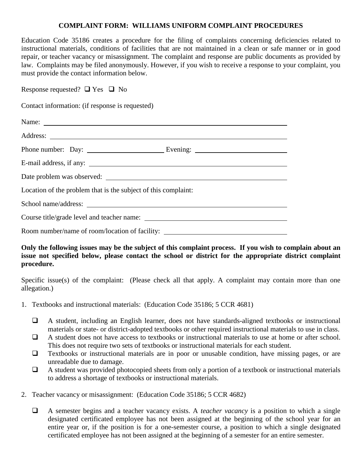## **COMPLAINT FORM: WILLIAMS UNIFORM COMPLAINT PROCEDURES**

Education Code 35186 creates a procedure for the filing of complaints concerning deficiencies related to instructional materials, conditions of facilities that are not maintained in a clean or safe manner or in good repair, or teacher vacancy or misassignment. The complaint and response are public documents as provided by law. Complaints may be filed anonymously. However, if you wish to receive a response to your complaint, you must provide the contact information below.

Response requested?  $\Box$  Yes  $\Box$  No

Contact information: (if response is requested)

| Name:                                                                            |  |
|----------------------------------------------------------------------------------|--|
|                                                                                  |  |
|                                                                                  |  |
| E-mail address, if any:                                                          |  |
|                                                                                  |  |
| Location of the problem that is the subject of this complaint:                   |  |
|                                                                                  |  |
|                                                                                  |  |
| Room number/name of room/location of facility: _________________________________ |  |

**Only the following issues may be the subject of this complaint process. If you wish to complain about an issue not specified below, please contact the school or district for the appropriate district complaint procedure.**

Specific issue(s) of the complaint: (Please check all that apply. A complaint may contain more than one allegation.)

- 1. Textbooks and instructional materials: (Education Code 35186; 5 CCR 4681)
	- A student, including an English learner, does not have standards-aligned textbooks or instructional materials or state- or district-adopted textbooks or other required instructional materials to use in class.
	- $\Box$  A student does not have access to textbooks or instructional materials to use at home or after school. This does not require two sets of textbooks or instructional materials for each student.
	- $\Box$  Textbooks or instructional materials are in poor or unusable condition, have missing pages, or are unreadable due to damage.
	- A student was provided photocopied sheets from only a portion of a textbook or instructional materials to address a shortage of textbooks or instructional materials.
- 2. Teacher vacancy or misassignment: (Education Code 35186; 5 CCR 4682)
	- A semester begins and a teacher vacancy exists. A *teacher vacancy* is a position to which a single designated certificated employee has not been assigned at the beginning of the school year for an entire year or, if the position is for a one-semester course, a position to which a single designated certificated employee has not been assigned at the beginning of a semester for an entire semester.